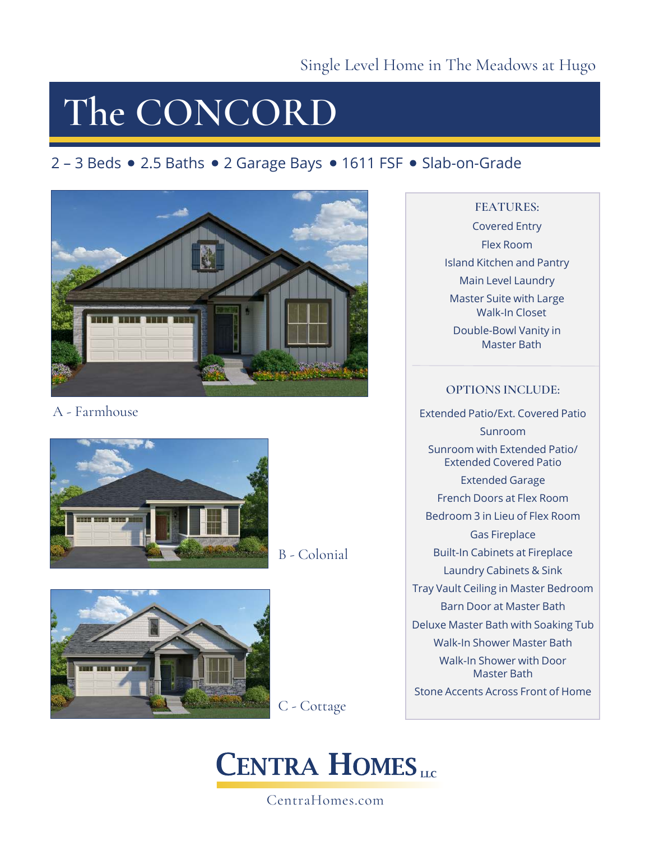## **The CONCORD**

### 2 – 3 Beds • 2.5 Baths • 2 Garage Bays • 1611 FSF • Slab-on-Grade



A - Farmhouse



B - Colonial



C - Cottage

### **CENTRA HOMES**

CentraHomes.com

#### **FEATURES:**

Covered Entry Flex Room Island Kitchen and Pantry Main Level Laundry Master Suite with Large Walk-In Closet Double-Bowl Vanity in Master Bath

#### **OPTIONS INCLUDE:**

Extended Patio/Ext. Covered Patio Sunroom Sunroom with Extended Patio/ Extended Covered Patio Extended Garage French Doors at Flex Room Bedroom 3 in Lieu of Flex Room Gas Fireplace Built-In Cabinets at Fireplace Laundry Cabinets & Sink Tray Vault Ceiling in Master Bedroom Barn Door at Master Bath Deluxe Master Bath with Soaking Tub Walk-In Shower Master Bath Walk-In Shower with Door Master Bath Stone Accents Across Front of Home